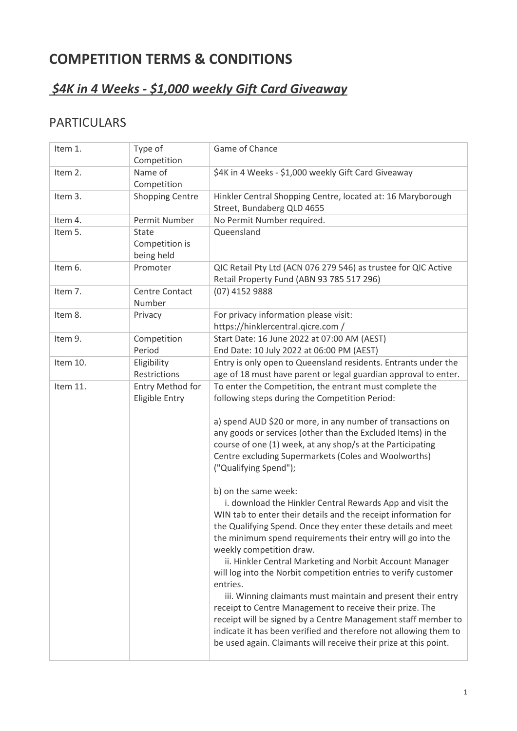# **COMPETITION TERMS & CONDITIONS**

## *\$4K in 4 Weeks - \$1,000 weekly Gift Card Giveaway*

### PARTICULARS

| Type of                               | Game of Chance                                                                                                                                                                                                                                                                                                                                                                                                                                                                                                                                                                                                                                                                                                                                                                                                                                                                                                                                                                                                                                                                                                                                                                            |
|---------------------------------------|-------------------------------------------------------------------------------------------------------------------------------------------------------------------------------------------------------------------------------------------------------------------------------------------------------------------------------------------------------------------------------------------------------------------------------------------------------------------------------------------------------------------------------------------------------------------------------------------------------------------------------------------------------------------------------------------------------------------------------------------------------------------------------------------------------------------------------------------------------------------------------------------------------------------------------------------------------------------------------------------------------------------------------------------------------------------------------------------------------------------------------------------------------------------------------------------|
| Name of                               | \$4K in 4 Weeks - \$1,000 weekly Gift Card Giveaway                                                                                                                                                                                                                                                                                                                                                                                                                                                                                                                                                                                                                                                                                                                                                                                                                                                                                                                                                                                                                                                                                                                                       |
|                                       |                                                                                                                                                                                                                                                                                                                                                                                                                                                                                                                                                                                                                                                                                                                                                                                                                                                                                                                                                                                                                                                                                                                                                                                           |
|                                       | Hinkler Central Shopping Centre, located at: 16 Maryborough<br>Street, Bundaberg QLD 4655                                                                                                                                                                                                                                                                                                                                                                                                                                                                                                                                                                                                                                                                                                                                                                                                                                                                                                                                                                                                                                                                                                 |
| Permit Number                         | No Permit Number required.                                                                                                                                                                                                                                                                                                                                                                                                                                                                                                                                                                                                                                                                                                                                                                                                                                                                                                                                                                                                                                                                                                                                                                |
| State<br>Competition is<br>being held | Queensland                                                                                                                                                                                                                                                                                                                                                                                                                                                                                                                                                                                                                                                                                                                                                                                                                                                                                                                                                                                                                                                                                                                                                                                |
| Promoter                              | QIC Retail Pty Ltd (ACN 076 279 546) as trustee for QIC Active<br>Retail Property Fund (ABN 93 785 517 296)                                                                                                                                                                                                                                                                                                                                                                                                                                                                                                                                                                                                                                                                                                                                                                                                                                                                                                                                                                                                                                                                               |
| Centre Contact                        | (07) 4152 9888                                                                                                                                                                                                                                                                                                                                                                                                                                                                                                                                                                                                                                                                                                                                                                                                                                                                                                                                                                                                                                                                                                                                                                            |
| Privacy                               | For privacy information please visit:<br>https://hinklercentral.qicre.com /                                                                                                                                                                                                                                                                                                                                                                                                                                                                                                                                                                                                                                                                                                                                                                                                                                                                                                                                                                                                                                                                                                               |
|                                       | Start Date: 16 June 2022 at 07:00 AM (AEST)                                                                                                                                                                                                                                                                                                                                                                                                                                                                                                                                                                                                                                                                                                                                                                                                                                                                                                                                                                                                                                                                                                                                               |
|                                       | End Date: 10 July 2022 at 06:00 PM (AEST)                                                                                                                                                                                                                                                                                                                                                                                                                                                                                                                                                                                                                                                                                                                                                                                                                                                                                                                                                                                                                                                                                                                                                 |
|                                       | Entry is only open to Queensland residents. Entrants under the                                                                                                                                                                                                                                                                                                                                                                                                                                                                                                                                                                                                                                                                                                                                                                                                                                                                                                                                                                                                                                                                                                                            |
|                                       | age of 18 must have parent or legal guardian approval to enter.                                                                                                                                                                                                                                                                                                                                                                                                                                                                                                                                                                                                                                                                                                                                                                                                                                                                                                                                                                                                                                                                                                                           |
| Entry Method for<br>Eligible Entry    | To enter the Competition, the entrant must complete the<br>following steps during the Competition Period:<br>a) spend AUD \$20 or more, in any number of transactions on<br>any goods or services (other than the Excluded Items) in the<br>course of one (1) week, at any shop/s at the Participating<br>Centre excluding Supermarkets (Coles and Woolworths)<br>("Qualifying Spend");<br>b) on the same week:<br>i. download the Hinkler Central Rewards App and visit the<br>WIN tab to enter their details and the receipt information for<br>the Qualifying Spend. Once they enter these details and meet<br>the minimum spend requirements their entry will go into the<br>weekly competition draw.<br>ii. Hinkler Central Marketing and Norbit Account Manager<br>will log into the Norbit competition entries to verify customer<br>entries.<br>iii. Winning claimants must maintain and present their entry<br>receipt to Centre Management to receive their prize. The<br>receipt will be signed by a Centre Management staff member to<br>indicate it has been verified and therefore not allowing them to<br>be used again. Claimants will receive their prize at this point. |
|                                       | Competition<br>Competition<br><b>Shopping Centre</b><br>Number<br>Competition<br>Period<br>Eligibility<br>Restrictions                                                                                                                                                                                                                                                                                                                                                                                                                                                                                                                                                                                                                                                                                                                                                                                                                                                                                                                                                                                                                                                                    |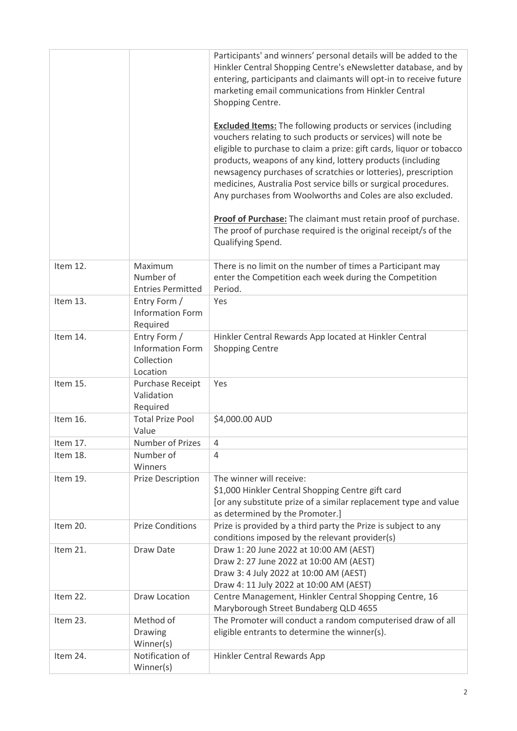|          |                                                                   | Participants' and winners' personal details will be added to the<br>Hinkler Central Shopping Centre's eNewsletter database, and by<br>entering, participants and claimants will opt-in to receive future<br>marketing email communications from Hinkler Central<br>Shopping Centre.                                                                                                                                                                                           |
|----------|-------------------------------------------------------------------|-------------------------------------------------------------------------------------------------------------------------------------------------------------------------------------------------------------------------------------------------------------------------------------------------------------------------------------------------------------------------------------------------------------------------------------------------------------------------------|
|          |                                                                   | <b>Excluded Items:</b> The following products or services (including<br>vouchers relating to such products or services) will note be<br>eligible to purchase to claim a prize: gift cards, liquor or tobacco<br>products, weapons of any kind, lottery products (including<br>newsagency purchases of scratchies or lotteries), prescription<br>medicines, Australia Post service bills or surgical procedures.<br>Any purchases from Woolworths and Coles are also excluded. |
|          |                                                                   | Proof of Purchase: The claimant must retain proof of purchase.<br>The proof of purchase required is the original receipt/s of the<br>Qualifying Spend.                                                                                                                                                                                                                                                                                                                        |
| Item 12. | Maximum<br>Number of<br><b>Entries Permitted</b>                  | There is no limit on the number of times a Participant may<br>enter the Competition each week during the Competition<br>Period.                                                                                                                                                                                                                                                                                                                                               |
| Item 13. | Entry Form /<br><b>Information Form</b><br>Required               | Yes                                                                                                                                                                                                                                                                                                                                                                                                                                                                           |
| Item 14. | Entry Form /<br><b>Information Form</b><br>Collection<br>Location | Hinkler Central Rewards App located at Hinkler Central<br><b>Shopping Centre</b>                                                                                                                                                                                                                                                                                                                                                                                              |
| Item 15. | <b>Purchase Receipt</b><br>Validation<br>Required                 | Yes                                                                                                                                                                                                                                                                                                                                                                                                                                                                           |
| Item 16. | <b>Total Prize Pool</b><br>Value                                  | \$4,000.00 AUD                                                                                                                                                                                                                                                                                                                                                                                                                                                                |
| Item 17. | <b>Number of Prizes</b>                                           | 4                                                                                                                                                                                                                                                                                                                                                                                                                                                                             |
| Item 18. | Number of<br>Winners                                              | 4                                                                                                                                                                                                                                                                                                                                                                                                                                                                             |
| Item 19. | <b>Prize Description</b>                                          | The winner will receive:<br>\$1,000 Hinkler Central Shopping Centre gift card<br>[or any substitute prize of a similar replacement type and value<br>as determined by the Promoter.]                                                                                                                                                                                                                                                                                          |
| Item 20. | <b>Prize Conditions</b>                                           | Prize is provided by a third party the Prize is subject to any<br>conditions imposed by the relevant provider(s)                                                                                                                                                                                                                                                                                                                                                              |
| Item 21. | Draw Date                                                         | Draw 1: 20 June 2022 at 10:00 AM (AEST)<br>Draw 2: 27 June 2022 at 10:00 AM (AEST)<br>Draw 3: 4 July 2022 at 10:00 AM (AEST)<br>Draw 4: 11 July 2022 at 10:00 AM (AEST)                                                                                                                                                                                                                                                                                                       |
| Item 22. | Draw Location                                                     | Centre Management, Hinkler Central Shopping Centre, 16<br>Maryborough Street Bundaberg QLD 4655                                                                                                                                                                                                                                                                                                                                                                               |
| Item 23. | Method of<br>Drawing<br>Winner(s)                                 | The Promoter will conduct a random computerised draw of all<br>eligible entrants to determine the winner(s).                                                                                                                                                                                                                                                                                                                                                                  |
| Item 24. | Notification of<br>Winner(s)                                      | Hinkler Central Rewards App                                                                                                                                                                                                                                                                                                                                                                                                                                                   |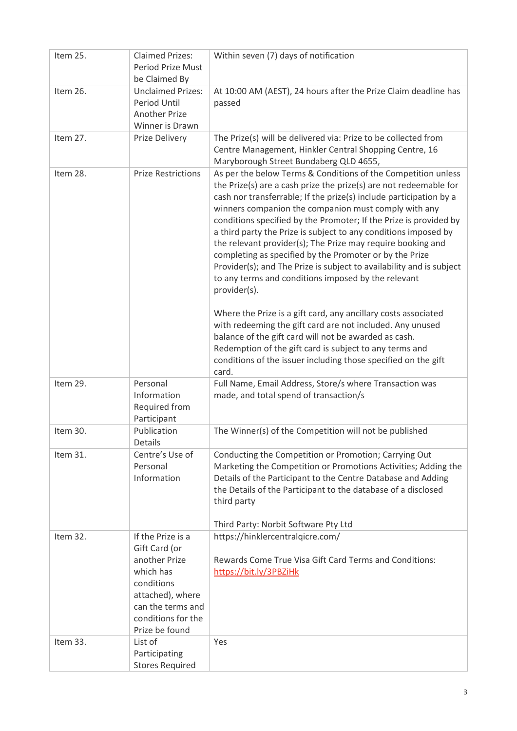| Item 25. | <b>Claimed Prizes:</b><br><b>Period Prize Must</b><br>be Claimed By                                                                                             | Within seven (7) days of notification                                                                                                                                                                                                                                                                                                                                                                                                                                                                                                                                                                                                                                                                                                                                                                                                                                                                                                                                                                           |
|----------|-----------------------------------------------------------------------------------------------------------------------------------------------------------------|-----------------------------------------------------------------------------------------------------------------------------------------------------------------------------------------------------------------------------------------------------------------------------------------------------------------------------------------------------------------------------------------------------------------------------------------------------------------------------------------------------------------------------------------------------------------------------------------------------------------------------------------------------------------------------------------------------------------------------------------------------------------------------------------------------------------------------------------------------------------------------------------------------------------------------------------------------------------------------------------------------------------|
| Item 26. | <b>Unclaimed Prizes:</b><br>Period Until<br><b>Another Prize</b><br>Winner is Drawn                                                                             | At 10:00 AM (AEST), 24 hours after the Prize Claim deadline has<br>passed                                                                                                                                                                                                                                                                                                                                                                                                                                                                                                                                                                                                                                                                                                                                                                                                                                                                                                                                       |
| Item 27. | Prize Delivery                                                                                                                                                  | The Prize(s) will be delivered via: Prize to be collected from<br>Centre Management, Hinkler Central Shopping Centre, 16<br>Maryborough Street Bundaberg QLD 4655,                                                                                                                                                                                                                                                                                                                                                                                                                                                                                                                                                                                                                                                                                                                                                                                                                                              |
| Item 28. | <b>Prize Restrictions</b>                                                                                                                                       | As per the below Terms & Conditions of the Competition unless<br>the Prize(s) are a cash prize the prize(s) are not redeemable for<br>cash nor transferrable; If the prize(s) include participation by a<br>winners companion the companion must comply with any<br>conditions specified by the Promoter; If the Prize is provided by<br>a third party the Prize is subject to any conditions imposed by<br>the relevant provider(s); The Prize may require booking and<br>completing as specified by the Promoter or by the Prize<br>Provider(s); and The Prize is subject to availability and is subject<br>to any terms and conditions imposed by the relevant<br>provider(s).<br>Where the Prize is a gift card, any ancillary costs associated<br>with redeeming the gift card are not included. Any unused<br>balance of the gift card will not be awarded as cash.<br>Redemption of the gift card is subject to any terms and<br>conditions of the issuer including those specified on the gift<br>card. |
| Item 29. | Personal<br>Information<br>Required from<br>Participant                                                                                                         | Full Name, Email Address, Store/s where Transaction was<br>made, and total spend of transaction/s                                                                                                                                                                                                                                                                                                                                                                                                                                                                                                                                                                                                                                                                                                                                                                                                                                                                                                               |
| Item 30. | Publication<br><b>Details</b>                                                                                                                                   | The Winner(s) of the Competition will not be published                                                                                                                                                                                                                                                                                                                                                                                                                                                                                                                                                                                                                                                                                                                                                                                                                                                                                                                                                          |
| Item 31. | Centre's Use of<br>Personal<br>Information                                                                                                                      | Conducting the Competition or Promotion; Carrying Out<br>Marketing the Competition or Promotions Activities; Adding the<br>Details of the Participant to the Centre Database and Adding<br>the Details of the Participant to the database of a disclosed<br>third party<br>Third Party: Norbit Software Pty Ltd                                                                                                                                                                                                                                                                                                                                                                                                                                                                                                                                                                                                                                                                                                 |
| Item 32. | If the Prize is a<br>Gift Card (or<br>another Prize<br>which has<br>conditions<br>attached), where<br>can the terms and<br>conditions for the<br>Prize be found | https://hinklercentralqicre.com/<br>Rewards Come True Visa Gift Card Terms and Conditions:<br>https://bit.ly/3PBZiHk                                                                                                                                                                                                                                                                                                                                                                                                                                                                                                                                                                                                                                                                                                                                                                                                                                                                                            |
| Item 33. | List of<br>Participating<br><b>Stores Required</b>                                                                                                              | Yes                                                                                                                                                                                                                                                                                                                                                                                                                                                                                                                                                                                                                                                                                                                                                                                                                                                                                                                                                                                                             |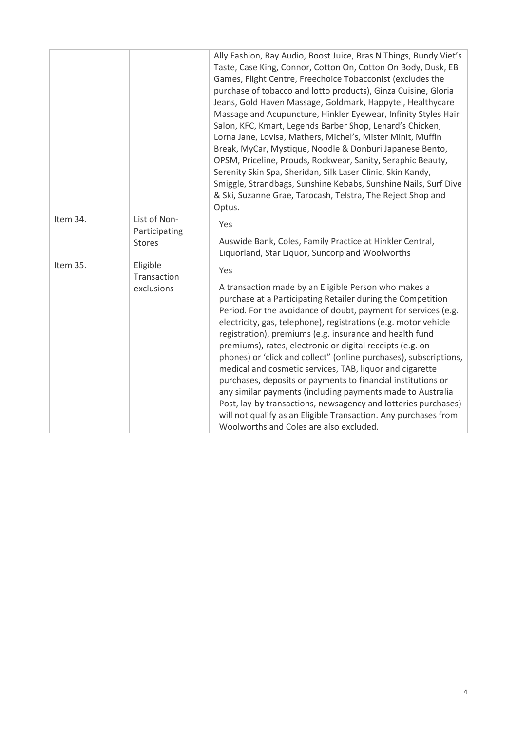|          |                                                | Ally Fashion, Bay Audio, Boost Juice, Bras N Things, Bundy Viet's<br>Taste, Case King, Connor, Cotton On, Cotton On Body, Dusk, EB<br>Games, Flight Centre, Freechoice Tobacconist (excludes the<br>purchase of tobacco and lotto products), Ginza Cuisine, Gloria<br>Jeans, Gold Haven Massage, Goldmark, Happytel, Healthycare<br>Massage and Acupuncture, Hinkler Eyewear, Infinity Styles Hair<br>Salon, KFC, Kmart, Legends Barber Shop, Lenard's Chicken,<br>Lorna Jane, Lovisa, Mathers, Michel's, Mister Minit, Muffin<br>Break, MyCar, Mystique, Noodle & Donburi Japanese Bento,<br>OPSM, Priceline, Prouds, Rockwear, Sanity, Seraphic Beauty,<br>Serenity Skin Spa, Sheridan, Silk Laser Clinic, Skin Kandy,<br>Smiggle, Strandbags, Sunshine Kebabs, Sunshine Nails, Surf Dive<br>& Ski, Suzanne Grae, Tarocash, Telstra, The Reject Shop and<br>Optus. |
|----------|------------------------------------------------|----------------------------------------------------------------------------------------------------------------------------------------------------------------------------------------------------------------------------------------------------------------------------------------------------------------------------------------------------------------------------------------------------------------------------------------------------------------------------------------------------------------------------------------------------------------------------------------------------------------------------------------------------------------------------------------------------------------------------------------------------------------------------------------------------------------------------------------------------------------------|
| Item 34. | List of Non-<br>Participating<br><b>Stores</b> | Yes<br>Auswide Bank, Coles, Family Practice at Hinkler Central,<br>Liquorland, Star Liquor, Suncorp and Woolworths                                                                                                                                                                                                                                                                                                                                                                                                                                                                                                                                                                                                                                                                                                                                                   |
| Item 35. | Eligible<br>Transaction<br>exclusions          | Yes<br>A transaction made by an Eligible Person who makes a<br>purchase at a Participating Retailer during the Competition<br>Period. For the avoidance of doubt, payment for services (e.g.<br>electricity, gas, telephone), registrations (e.g. motor vehicle<br>registration), premiums (e.g. insurance and health fund<br>premiums), rates, electronic or digital receipts (e.g. on<br>phones) or 'click and collect" (online purchases), subscriptions,<br>medical and cosmetic services, TAB, liquor and cigarette<br>purchases, deposits or payments to financial institutions or<br>any similar payments (including payments made to Australia<br>Post, lay-by transactions, newsagency and lotteries purchases)<br>will not qualify as an Eligible Transaction. Any purchases from<br>Woolworths and Coles are also excluded.                               |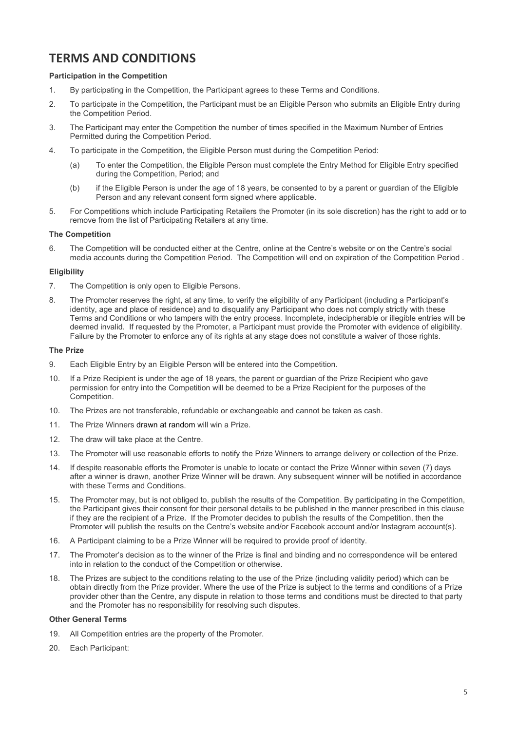### **TERMS AND CONDITIONS**

#### **Participation in the Competition**

- 1. By participating in the Competition, the Participant agrees to these Terms and Conditions.
- 2. To participate in the Competition, the Participant must be an Eligible Person who submits an Eligible Entry during the Competition Period.
- 3. The Participant may enter the Competition the number of times specified in the Maximum Number of Entries Permitted during the Competition Period.
- 4. To participate in the Competition, the Eligible Person must during the Competition Period:
	- (a) To enter the Competition, the Eligible Person must complete the Entry Method for Eligible Entry specified during the Competition, Period; and
	- (b) if the Eligible Person is under the age of 18 years, be consented to by a parent or guardian of the Eligible Person and any relevant consent form signed where applicable.
- 5. For Competitions which include Participating Retailers the Promoter (in its sole discretion) has the right to add or to remove from the list of Participating Retailers at any time.

#### **The Competition**

6. The Competition will be conducted either at the Centre, online at the Centre's website or on the Centre's social media accounts during the Competition Period. The Competition will end on expiration of the Competition Period .

#### **Eligibility**

- 7. The Competition is only open to Eligible Persons.
- 8. The Promoter reserves the right, at any time, to verify the eligibility of any Participant (including a Participant's identity, age and place of residence) and to disqualify any Participant who does not comply strictly with these Terms and Conditions or who tampers with the entry process. Incomplete, indecipherable or illegible entries will be deemed invalid. If requested by the Promoter, a Participant must provide the Promoter with evidence of eligibility. Failure by the Promoter to enforce any of its rights at any stage does not constitute a waiver of those rights.

#### **The Prize**

- 9. Each Eligible Entry by an Eligible Person will be entered into the Competition.
- 10. If a Prize Recipient is under the age of 18 years, the parent or guardian of the Prize Recipient who gave permission for entry into the Competition will be deemed to be a Prize Recipient for the purposes of the Competition.
- 10. The Prizes are not transferable, refundable or exchangeable and cannot be taken as cash.
- 11. The Prize Winners drawn at random will win a Prize.
- 12. The draw will take place at the Centre.
- 13. The Promoter will use reasonable efforts to notify the Prize Winners to arrange delivery or collection of the Prize.
- 14. If despite reasonable efforts the Promoter is unable to locate or contact the Prize Winner within seven (7) days after a winner is drawn, another Prize Winner will be drawn. Any subsequent winner will be notified in accordance with these Terms and Conditions.
- 15. The Promoter may, but is not obliged to, publish the results of the Competition. By participating in the Competition, the Participant gives their consent for their personal details to be published in the manner prescribed in this clause if they are the recipient of a Prize. If the Promoter decides to publish the results of the Competition, then the Promoter will publish the results on the Centre's website and/or Facebook account and/or Instagram account(s).
- 16. A Participant claiming to be a Prize Winner will be required to provide proof of identity.
- 17. The Promoter's decision as to the winner of the Prize is final and binding and no correspondence will be entered into in relation to the conduct of the Competition or otherwise.
- 18. The Prizes are subject to the conditions relating to the use of the Prize (including validity period) which can be obtain directly from the Prize provider. Where the use of the Prize is subject to the terms and conditions of a Prize provider other than the Centre, any dispute in relation to those terms and conditions must be directed to that party and the Promoter has no responsibility for resolving such disputes.

#### **Other General Terms**

- 19. All Competition entries are the property of the Promoter.
- 20. Each Participant: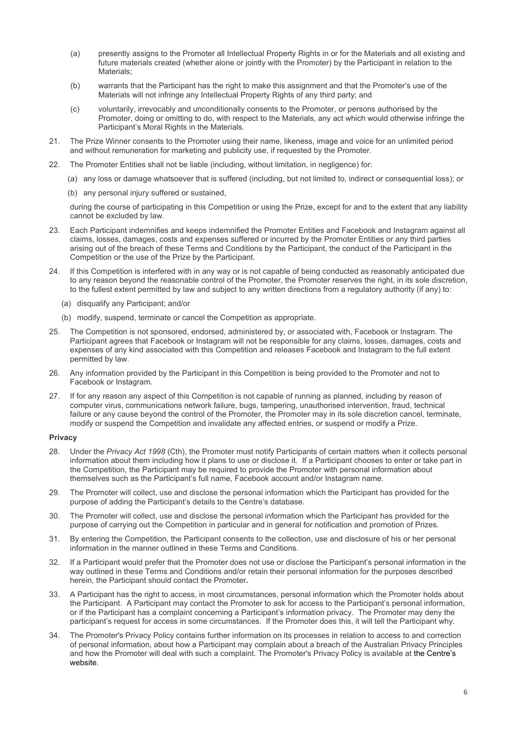- (a) presently assigns to the Promoter all Intellectual Property Rights in or for the Materials and all existing and future materials created (whether alone or jointly with the Promoter) by the Participant in relation to the Materials;
- (b) warrants that the Participant has the right to make this assignment and that the Promoter's use of the Materials will not infringe any Intellectual Property Rights of any third party; and
- (c) voluntarily, irrevocably and unconditionally consents to the Promoter, or persons authorised by the Promoter, doing or omitting to do, with respect to the Materials, any act which would otherwise infringe the Participant's Moral Rights in the Materials.
- 21. The Prize Winner consents to the Promoter using their name, likeness, image and voice for an unlimited period and without remuneration for marketing and publicity use, if requested by the Promoter.
- 22. The Promoter Entities shall not be liable (including, without limitation, in negligence) for:
	- (a) any loss or damage whatsoever that is suffered (including, but not limited to, indirect or consequential loss); or
	- (b) any personal injury suffered or sustained,

during the course of participating in this Competition or using the Prize, except for and to the extent that any liability cannot be excluded by law.

- 23. Each Participant indemnifies and keeps indemnified the Promoter Entities and Facebook and Instagram against all claims, losses, damages, costs and expenses suffered or incurred by the Promoter Entities or any third parties arising out of the breach of these Terms and Conditions by the Participant, the conduct of the Participant in the Competition or the use of the Prize by the Participant.
- 24. If this Competition is interfered with in any way or is not capable of being conducted as reasonably anticipated due to any reason beyond the reasonable control of the Promoter, the Promoter reserves the right, in its sole discretion, to the fullest extent permitted by law and subject to any written directions from a regulatory authority (if any) to:
	- (a) disqualify any Participant; and/or
	- (b) modify, suspend, terminate or cancel the Competition as appropriate.
- 25. The Competition is not sponsored, endorsed, administered by, or associated with, Facebook or Instagram. The Participant agrees that Facebook or Instagram will not be responsible for any claims, losses, damages, costs and expenses of any kind associated with this Competition and releases Facebook and Instagram to the full extent permitted by law.
- 26. Any information provided by the Participant in this Competition is being provided to the Promoter and not to Facebook or Instagram.
- 27. If for any reason any aspect of this Competition is not capable of running as planned, including by reason of computer virus, communications network failure, bugs, tampering, unauthorised intervention, fraud, technical failure or any cause beyond the control of the Promoter, the Promoter may in its sole discretion cancel, terminate, modify or suspend the Competition and invalidate any affected entries, or suspend or modify a Prize.

#### **Privacy**

- 28. Under the *Privacy Act 1998* (Cth), the Promoter must notify Participants of certain matters when it collects personal information about them including how it plans to use or disclose it. If a Participant chooses to enter or take part in the Competition, the Participant may be required to provide the Promoter with personal information about themselves such as the Participant's full name, Facebook account and/or Instagram name.
- 29. The Promoter will collect, use and disclose the personal information which the Participant has provided for the purpose of adding the Participant's details to the Centre's database.
- 30. The Promoter will collect, use and disclose the personal information which the Participant has provided for the purpose of carrying out the Competition in particular and in general for notification and promotion of Prizes.
- 31. By entering the Competition, the Participant consents to the collection, use and disclosure of his or her personal information in the manner outlined in these Terms and Conditions.
- 32. If a Participant would prefer that the Promoter does not use or disclose the Participant's personal information in the way outlined in these Terms and Conditions and/or retain their personal information for the purposes described herein, the Participant should contact the Promoter**.**
- 33. A Participant has the right to access, in most circumstances, personal information which the Promoter holds about the Participant. A Participant may contact the Promoter to ask for access to the Participant's personal information, or if the Participant has a complaint concerning a Participant's information privacy. The Promoter may deny the participant's request for access in some circumstances. If the Promoter does this, it will tell the Participant why.
- 34. The Promoter's Privacy Policy contains further information on its processes in relation to access to and correction of personal information, about how a Participant may complain about a breach of the Australian Privacy Principles and how the Promoter will deal with such a complaint. The Promoter's Privacy Policy is available a[t the Centre's](http://www.pacificwerribee.com.au/)  [website.](http://www.pacificwerribee.com.au/)